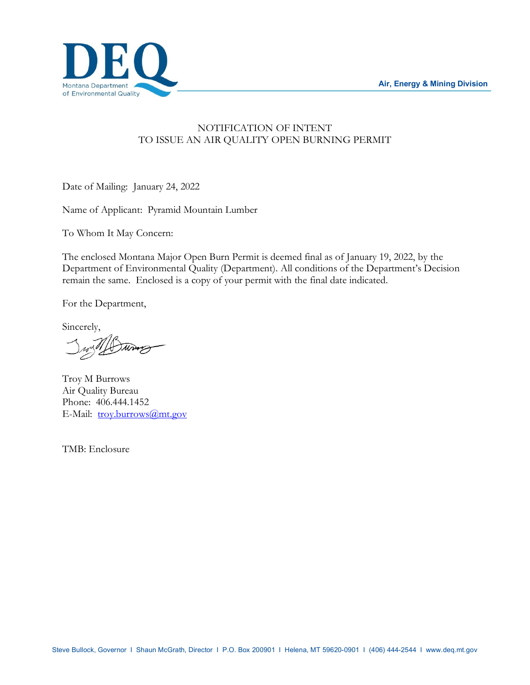

## NOTIFICATION OF INTENT TO ISSUE AN AIR QUALITY OPEN BURNING PERMIT

Date of Mailing: January 24, 2022

Name of Applicant: Pyramid Mountain Lumber

To Whom It May Concern:

The enclosed Montana Major Open Burn Permit is deemed final as of January 19, 2022, by the Department of Environmental Quality (Department). All conditions of the Department's Decision remain the same. Enclosed is a copy of your permit with the final date indicated.

For the Department,

Sincerely,

Anna

Troy M Burrows Air Quality Bureau Phone: 406.444.1452 E-Mail: [troy.burrows@mt.gov](mailto:troy.burrows@mt.gov)

TMB: Enclosure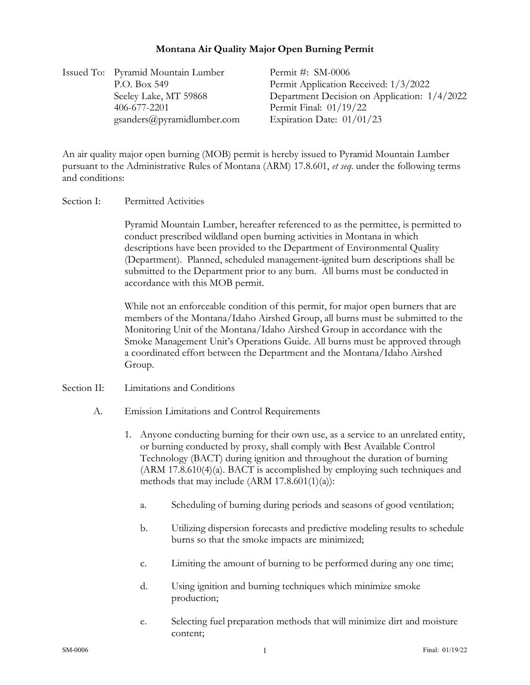## **Montana Air Quality Major Open Burning Permit**

Issued To: Pyramid Mountain Lumber P.O. Box 549 Seeley Lake, MT 59868 406-677-2201 gsanders@pyramidlumber.com Permit #: SM-0006 Permit Application Received: 1/3/2022 Department Decision on Application: 1/4/2022 Permit Final: 01/19/22 Expiration Date: 01/01/23

An air quality major open burning (MOB) permit is hereby issued to Pyramid Mountain Lumber pursuant to the Administrative Rules of Montana (ARM) 17.8.601, *et seq*. under the following terms and conditions:

Section I: Permitted Activities

Pyramid Mountain Lumber, hereafter referenced to as the permittee, is permitted to conduct prescribed wildland open burning activities in Montana in which descriptions have been provided to the Department of Environmental Quality (Department). Planned, scheduled management-ignited burn descriptions shall be submitted to the Department prior to any burn. All burns must be conducted in accordance with this MOB permit.

While not an enforceable condition of this permit, for major open burners that are members of the Montana/Idaho Airshed Group, all burns must be submitted to the Monitoring Unit of the Montana/Idaho Airshed Group in accordance with the Smoke Management Unit's Operations Guide. All burns must be approved through a coordinated effort between the Department and the Montana/Idaho Airshed Group.

- Section II: Limitations and Conditions
	- A. Emission Limitations and Control Requirements
		- 1. Anyone conducting burning for their own use, as a service to an unrelated entity, or burning conducted by proxy, shall comply with Best Available Control Technology (BACT) during ignition and throughout the duration of burning (ARM 17.8.610(4)(a). BACT is accomplished by employing such techniques and methods that may include  $(ARM 17.8.601(1)(a))$ :
			- a. Scheduling of burning during periods and seasons of good ventilation;
			- b. Utilizing dispersion forecasts and predictive modeling results to schedule burns so that the smoke impacts are minimized;
			- c. Limiting the amount of burning to be performed during any one time;
			- d. Using ignition and burning techniques which minimize smoke production;
			- e. Selecting fuel preparation methods that will minimize dirt and moisture content;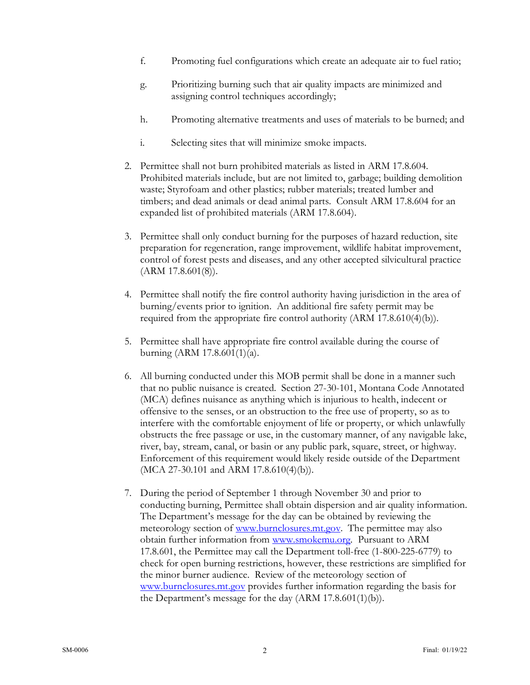- f. Promoting fuel configurations which create an adequate air to fuel ratio;
- g. Prioritizing burning such that air quality impacts are minimized and assigning control techniques accordingly;
- h. Promoting alternative treatments and uses of materials to be burned; and
- i. Selecting sites that will minimize smoke impacts.
- 2. Permittee shall not burn prohibited materials as listed in ARM 17.8.604. Prohibited materials include, but are not limited to, garbage; building demolition waste; Styrofoam and other plastics; rubber materials; treated lumber and timbers; and dead animals or dead animal parts. Consult ARM 17.8.604 for an expanded list of prohibited materials (ARM 17.8.604).
- 3. Permittee shall only conduct burning for the purposes of hazard reduction, site preparation for regeneration, range improvement, wildlife habitat improvement, control of forest pests and diseases, and any other accepted silvicultural practice (ARM 17.8.601(8)).
- 4. Permittee shall notify the fire control authority having jurisdiction in the area of burning/events prior to ignition. An additional fire safety permit may be required from the appropriate fire control authority (ARM 17.8.610(4)(b)).
- 5. Permittee shall have appropriate fire control available during the course of burning (ARM 17.8.601(1)(a).
- 6. All burning conducted under this MOB permit shall be done in a manner such that no public nuisance is created. Section 27-30-101, Montana Code Annotated (MCA) defines nuisance as anything which is injurious to health, indecent or offensive to the senses, or an obstruction to the free use of property, so as to interfere with the comfortable enjoyment of life or property, or which unlawfully obstructs the free passage or use, in the customary manner, of any navigable lake, river, bay, stream, canal, or basin or any public park, square, street, or highway. Enforcement of this requirement would likely reside outside of the Department (MCA 27-30.101 and ARM 17.8.610(4)(b)).
- <span id="page-2-0"></span>7. During the period of September 1 through November 30 and prior to conducting burning, Permittee shall obtain dispersion and air quality information. The Department's message for the day can be obtained by reviewing the meteorology section of [www.burnclosures.mt.gov.](http://www.burnclosures.mt.gov/) The permittee may also obtain further information from [www.smokemu.org.](http://www.smokemu.org/) Pursuant to ARM 17.8.601, the Permittee may call the Department toll-free (1-800-225-6779) to check for open burning restrictions, however, these restrictions are simplified for the minor burner audience. Review of the meteorology section of [www.burnclosures.mt.gov](http://www.burnclosures.mt.gov/) provides further information regarding the basis for the Department's message for the day (ARM 17.8.601(1)(b)).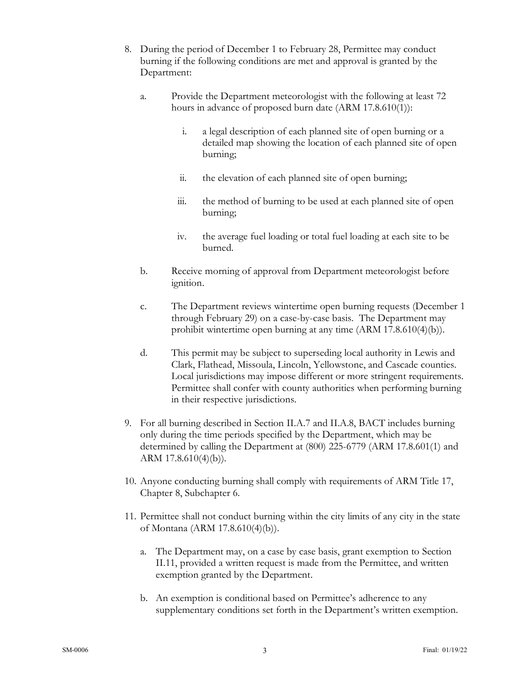- <span id="page-3-0"></span>8. During the period of December 1 to February 28, Permittee may conduct burning if the following conditions are met and approval is granted by the Department:
	- a. Provide the Department meteorologist with the following at least 72 hours in advance of proposed burn date (ARM 17.8.610(1)):
		- i. a legal description of each planned site of open burning or a detailed map showing the location of each planned site of open burning;
		- ii. the elevation of each planned site of open burning;
		- iii. the method of burning to be used at each planned site of open burning;
		- iv. the average fuel loading or total fuel loading at each site to be burned.
	- b. Receive morning of approval from Department meteorologist before ignition.
	- c. The Department reviews wintertime open burning requests (December 1 through February 29) on a case-by-case basis. The Department may prohibit wintertime open burning at any time (ARM 17.8.610(4)(b)).
	- d. This permit may be subject to superseding local authority in Lewis and Clark, Flathead, Missoula, Lincoln, Yellowstone, and Cascade counties. Local jurisdictions may impose different or more stringent requirements. Permittee shall confer with county authorities when performing burning in their respective jurisdictions.
- 9. For all burning described in Section II.A[.7](#page-2-0) and II.A[.8,](#page-3-0) BACT includes burning only during the time periods specified by the Department, which may be determined by calling the Department at (800) 225-6779 (ARM 17.8.601(1) and ARM 17.8.610(4)(b)).
- 10. Anyone conducting burning shall comply with requirements of ARM Title 17, Chapter 8, Subchapter 6.
- <span id="page-3-1"></span>11. Permittee shall not conduct burning within the city limits of any city in the state of Montana (ARM 17.8.610(4)(b)).
	- a. The Department may, on a case by case basis, grant exemption to Section II[.11,](#page-3-1) provided a written request is made from the Permittee, and written exemption granted by the Department.
	- b. An exemption is conditional based on Permittee's adherence to any supplementary conditions set forth in the Department's written exemption.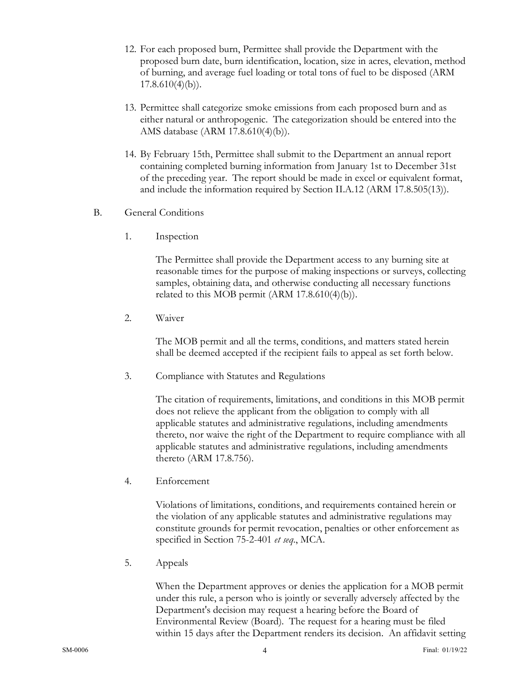- <span id="page-4-0"></span>12. For each proposed burn, Permittee shall provide the Department with the proposed burn date, burn identification, location, size in acres, elevation, method of burning, and average fuel loading or total tons of fuel to be disposed (ARM  $17.8.610(4)(b)$ .
- 13. Permittee shall categorize smoke emissions from each proposed burn and as either natural or anthropogenic. The categorization should be entered into the AMS database (ARM 17.8.610(4)(b)).
- 14. By February 15th, Permittee shall submit to the Department an annual report containing completed burning information from January 1st to December 31st of the preceding year. The report should be made in excel or equivalent format, and include the information required by Section II.A[.12](#page-4-0) (ARM 17.8.505(13)).

## B. General Conditions

1. Inspection

The Permittee shall provide the Department access to any burning site at reasonable times for the purpose of making inspections or surveys, collecting samples, obtaining data, and otherwise conducting all necessary functions related to this MOB permit (ARM 17.8.610(4)(b)).

2. Waiver

The MOB permit and all the terms, conditions, and matters stated herein shall be deemed accepted if the recipient fails to appeal as set forth below.

3. Compliance with Statutes and Regulations

The citation of requirements, limitations, and conditions in this MOB permit does not relieve the applicant from the obligation to comply with all applicable statutes and administrative regulations, including amendments thereto, nor waive the right of the Department to require compliance with all applicable statutes and administrative regulations, including amendments thereto (ARM 17.8.756).

4. Enforcement

Violations of limitations, conditions, and requirements contained herein or the violation of any applicable statutes and administrative regulations may constitute grounds for permit revocation, penalties or other enforcement as specified in Section 75-2-401 *et seq*., MCA.

5. Appeals

When the Department approves or denies the application for a MOB permit under this rule, a person who is jointly or severally adversely affected by the Department's decision may request a hearing before the Board of Environmental Review (Board). The request for a hearing must be filed within 15 days after the Department renders its decision. An affidavit setting